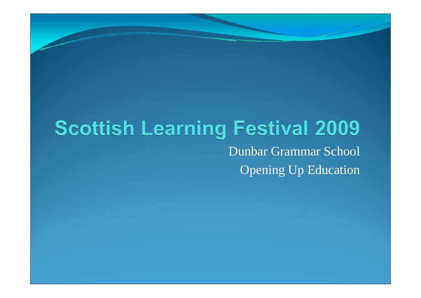## **Scottish Learning Festival 2009** Dunbar Grammar SchoolOpening Up Education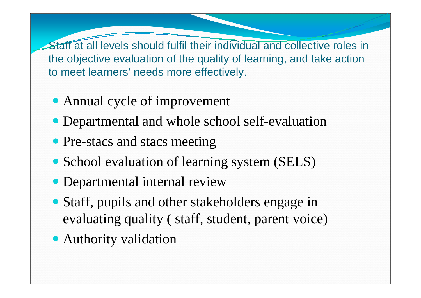Staff at all levels should fulfil their individual and collective roles in the objective evaluation of the quality of learning, and take action to meet learners' needs more effectively.

- Annual cycle of improvement
- Departmental and whole school self-evaluation
- Pre-stacs and stacs meeting
- School evaluation of learning system (SELS)
- Departmental internal review
- Staff, pupils and other stakeholders engage in evaluating quality ( staff, student, parent voice)
- Authority validation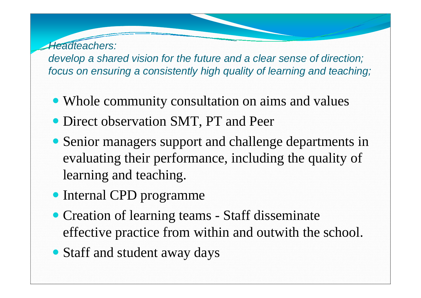Headteachers: develop a shared vision for the future and a clear sense of direction;focus on ensuring a consistently high quality of learning and teaching;

- Whole community consultation on aims and values
- Direct observation SMT, PT and Peer
- Senior managers support and challenge departments in evaluating their performance, including the quality of learning and teaching.
- Internal CPD programme
- Creation of learning teams Staff disseminate effective practice from within and outwith the school.
- Staff and student away days